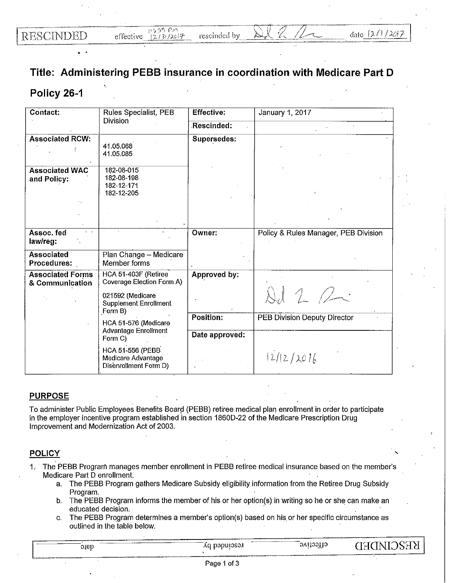## **Title: Administering PEBB insurance in coordination with Medicare Part D**

## **Policy 26-1**

| Contact:<br>Rules Specialist, PEB          |                                                                        | <b>Effective:</b> | January 1, 2017                      |  |
|--------------------------------------------|------------------------------------------------------------------------|-------------------|--------------------------------------|--|
|                                            | <b>Division</b>                                                        |                   |                                      |  |
| <b>Associated RCW:</b>                     | 41.05.068<br>41.05.085                                                 | Supersedes:       |                                      |  |
| <b>Associated WAC</b><br>and Policy:       | 182-08-015<br>182-08-198<br>182-12-171<br>182-12-205                   |                   |                                      |  |
|                                            |                                                                        |                   |                                      |  |
| Assoc. fed<br>law/reg:                     |                                                                        | Owner:            | Policy & Rules Manager, PEB Division |  |
| <b>Associated</b><br>Procedures:           | Plan Change - Medicare<br>Member forms                                 |                   |                                      |  |
| <b>Associated Forms</b><br>& Communication | HCA 51-403F (Retiree<br>Coverage Election Form A)                      | Approved by:      |                                      |  |
|                                            | 021592 (Medicare<br><b>Supplement Enrollment</b><br>Form B)            |                   | 16                                   |  |
|                                            | HCA 51-576 (Medicare<br>Advantage Enrollment<br>Form C)                | <b>Position:</b>  | PEB Division Deputy Director         |  |
|                                            |                                                                        | Date approved:    |                                      |  |
|                                            | <b>HCA 51-556 (PEBB</b><br>Medicare Advantage<br>Disenrollment Form D) |                   | 12/12/2016                           |  |

## **PURPOSE**

To administer Public Employees Benefits Board (PEBB) retiree medical plan enrollment in order to participate in the employer incentive program established in section 1860D-22 of the Medicare Prescription Drug Improvement and Modernization Act of 2003.

## **POLICY**

- 1, The PEBB Program manages member enrollment in PEBB retiree medical insurance based on the member's Medicare Part D enrollment.
	- a. The PEBB Program gathers Medicare Subsidy eligibility information from the Retiree Drug Subsidy Program.
	- b. The PEBB Program informs the member of his or her option(s) in writing so he or she can make an educated decision.
	- c. The PEBB Program determines a member's option(s) based on his. or her specific circumstance as outlined in the table below.

| энер | -----<br>DƏDUIƏSƏJ<br>Λu | <b>SVIJOSI16</b><br>ن ب | 7S:TY<br>IATYT |
|------|--------------------------|-------------------------|----------------|
|      |                          |                         |                |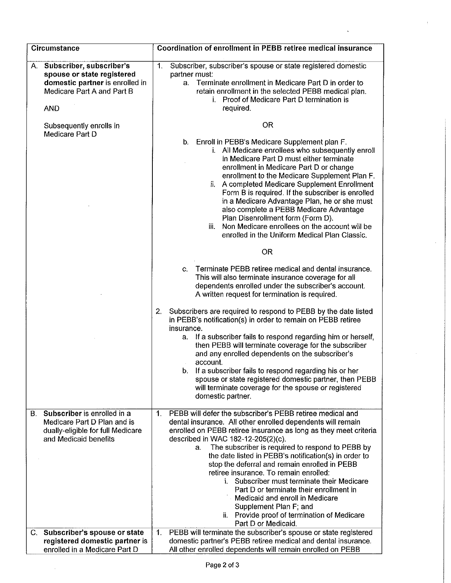| <b>Circumstance</b>                                                                                                                                               | Coordination of enrollment in PEBB retiree medical insurance                                                                                                                                                                                                                                                                                                                                                                                                                                                                                                                                                                                                                                                                                                                                         |
|-------------------------------------------------------------------------------------------------------------------------------------------------------------------|------------------------------------------------------------------------------------------------------------------------------------------------------------------------------------------------------------------------------------------------------------------------------------------------------------------------------------------------------------------------------------------------------------------------------------------------------------------------------------------------------------------------------------------------------------------------------------------------------------------------------------------------------------------------------------------------------------------------------------------------------------------------------------------------------|
| Subscriber, subscriber's<br>А.<br>spouse or state registered<br>domestic partner is enrolled in<br>Medicare Part A and Part B<br><b>AND</b>                       | Subscriber, subscriber's spouse or state registered domestic<br>1.<br>partner must:<br>Terminate enrollment in Medicare Part D in order to<br>a.<br>retain enrollment in the selected PEBB medical plan.<br>i. Proof of Medicare Part D termination is<br>required.                                                                                                                                                                                                                                                                                                                                                                                                                                                                                                                                  |
| Subsequently enrolls in<br>Medicare Part D                                                                                                                        | <b>OR</b><br>b. Enroll in PEBB's Medicare Supplement plan F.<br>i. All Medicare enrollees who subsequently enroll<br>in Medicare Part D must either terminate<br>enrollment in Medicare Part D or change<br>enrollment to the Medicare Supplement Plan F.<br>ii. A completed Medicare Supplement Enrollment<br>Form B is required. If the subscriber is enrolled<br>in a Medicare Advantage Plan, he or she must<br>also complete a PEBB Medicare Advantage<br>Plan Disenrollment form (Form D).<br>Non Medicare enrollees on the account will be<br>ÎÎ.<br>enrolled in the Uniform Medical Plan Classic.                                                                                                                                                                                            |
|                                                                                                                                                                   | <b>OR</b><br>Terminate PEBB retiree medical and dental insurance.<br>$C_{\cdot}$<br>This will also terminate insurance coverage for all<br>dependents enrolled under the subscriber's account.<br>A written request for termination is required.<br>2.<br>Subscribers are required to respond to PEBB by the date listed<br>in PEBB's notification(s) in order to remain on PEBB retiree<br>insurance.<br>a. If a subscriber fails to respond regarding him or herself.<br>then PEBB will terminate coverage for the subscriber<br>and any enrolled dependents on the subscriber's<br>account.<br>If a subscriber fails to respond regarding his or her<br>b.<br>spouse or state registered domestic partner, then PEBB<br>will terminate coverage for the spouse or registered<br>domestic partner. |
| Subscriber is enrolled in a<br>В.<br>Medicare Part D Plan and is<br>dually-eligible for full Medicare<br>and Medicaid benefits<br>C. Subscriber's spouse or state | PEBB will defer the subscriber's PEBB retiree medical and<br>1.<br>dental insurance. All other enrolled dependents will remain<br>enrolled on PEBB retiree insurance as long as they meet criteria<br>described in WAC 182-12-205(2)(c).<br>The subscriber is required to respond to PEBB by<br>а.<br>the date listed in PEBB's notification(s) in order to<br>stop the deferral and remain enrolled in PEBB<br>retiree insurance. To remain enrolled:<br>i. Subscriber must terminate their Medicare<br>Part D or terminate their enrollment in<br>Medicaid and enroll in Medicare<br>Supplement Plan F; and<br>ii. Provide proof of termination of Medicare<br>Part D or Medicaid.<br>PEBB will terminate the subscriber's spouse or state registered<br>$1_{\cdot}$                               |
| registered domestic partner is<br>enrolled in a Medicare Part D                                                                                                   | domestic partner's PEBB retiree medical and dental insurance.<br>All other enrolled dependents will remain enrolled on PEBB                                                                                                                                                                                                                                                                                                                                                                                                                                                                                                                                                                                                                                                                          |

ÿ

 $\ddot{\phantom{0}}$ 

 $\sim$